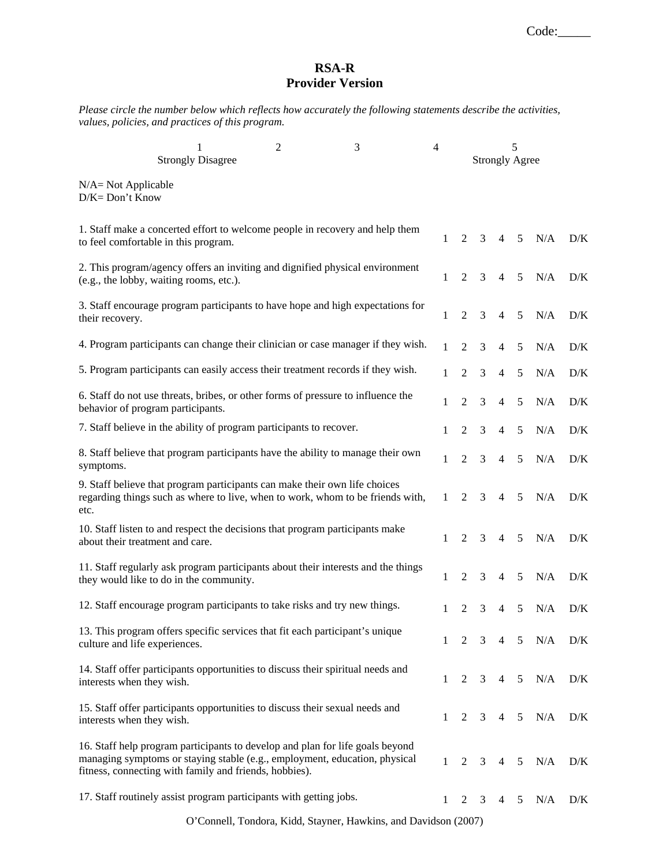Code:

## **RSA-R Provider Version**

*Please circle the number below which reflects how accurately the following statements describe the activities, values, policies, and practices of this program.* 

| <b>Strongly Disagree</b>                                                                                                                                                                                              | $\overline{2}$ | 3 | 4            | 5<br><b>Strongly Agree</b> |                         |                |                 |     |                         |
|-----------------------------------------------------------------------------------------------------------------------------------------------------------------------------------------------------------------------|----------------|---|--------------|----------------------------|-------------------------|----------------|-----------------|-----|-------------------------|
| $N/A = Not Applicable$<br>D/K= Don't Know                                                                                                                                                                             |                |   |              |                            |                         |                |                 |     |                         |
| 1. Staff make a concerted effort to welcome people in recovery and help them<br>to feel comfortable in this program.                                                                                                  |                |   | 1            | $\overline{2}$             | 3                       | $\overline{4}$ | 5 <sup>5</sup>  | N/A | D/K                     |
| 2. This program/agency offers an inviting and dignified physical environment<br>(e.g., the lobby, waiting rooms, etc.).                                                                                               |                |   | 1            | 2                          | 3                       | 4              | 5               | N/A | D/K                     |
| 3. Staff encourage program participants to have hope and high expectations for<br>their recovery.                                                                                                                     |                |   | 1            | $\overline{2}$             | $\mathfrak{Z}$          | $\overline{4}$ | 5               | N/A | D/K                     |
| 4. Program participants can change their clinician or case manager if they wish.                                                                                                                                      |                |   | 1            | $\overline{2}$             | 3                       | $\overline{4}$ | 5               | N/A | D/K                     |
| 5. Program participants can easily access their treatment records if they wish.                                                                                                                                       |                |   | 1            | $\overline{2}$             | 3                       | $\overline{4}$ | 5               | N/A | D/K                     |
| 6. Staff do not use threats, bribes, or other forms of pressure to influence the<br>behavior of program participants.                                                                                                 |                |   | $\mathbf{1}$ | 2                          | 3                       | $\overline{4}$ | 5               | N/A | D/K                     |
| 7. Staff believe in the ability of program participants to recover.                                                                                                                                                   |                |   | 1            | 2                          | 3                       | 4              | 5               | N/A | D/K                     |
| 8. Staff believe that program participants have the ability to manage their own<br>symptoms.                                                                                                                          |                |   | 1            | $\overline{2}$             | 3                       | $\overline{4}$ | 5               | N/A | D/K                     |
| 9. Staff believe that program participants can make their own life choices<br>regarding things such as where to live, when to work, whom to be friends with,<br>etc.                                                  |                |   | 1            | 2                          | 3                       | 4              | 5               | N/A | D/K                     |
| 10. Staff listen to and respect the decisions that program participants make<br>about their treatment and care.                                                                                                       |                |   | 1            | 2                          | 3                       | $\overline{4}$ | 5               | N/A | D/K                     |
| 11. Staff regularly ask program participants about their interests and the things<br>they would like to do in the community.                                                                                          |                |   | 1            | $\overline{2}$             | 3                       | 4              | 5               | N/A | D/K                     |
| 12. Staff encourage program participants to take risks and try new things.                                                                                                                                            |                |   | 1            | 2                          | 3                       | 4              | 5               | N/A | D/K                     |
| 13. This program offers specific services that fit each participant's unique<br>culture and life experiences.                                                                                                         |                |   | 1            | 2                          | 3                       | 4              | 5               | N/A | D/K                     |
| 14. Staff offer participants opportunities to discuss their spiritual needs and<br>interests when they wish.                                                                                                          |                |   | $\mathbf{1}$ | $2^{\circ}$                | $\overline{\mathbf{3}}$ | $\overline{4}$ | 5 <sup>5</sup>  | N/A | D/K                     |
| 15. Staff offer participants opportunities to discuss their sexual needs and<br>interests when they wish.                                                                                                             |                |   | 1            | $2^{\circ}$                | $\overline{3}$          | $\overline{4}$ | $5\overline{)}$ | N/A | D/K                     |
| 16. Staff help program participants to develop and plan for life goals beyond<br>managing symptoms or staying stable (e.g., employment, education, physical<br>fitness, connecting with family and friends, hobbies). |                |   | $\mathbf{1}$ | $\overline{2}$             | $\mathfrak{Z}$          | 4              | 5               | N/A | $\mathbf{D}/\mathbf{K}$ |
| 17. Staff routinely assist program participants with getting jobs.                                                                                                                                                    |                |   | 1            | 2                          | 3                       | 4              | 5               | N/A | D/K                     |

O'Connell, Tondora, Kidd, Stayner, Hawkins, and Davidson (2007)